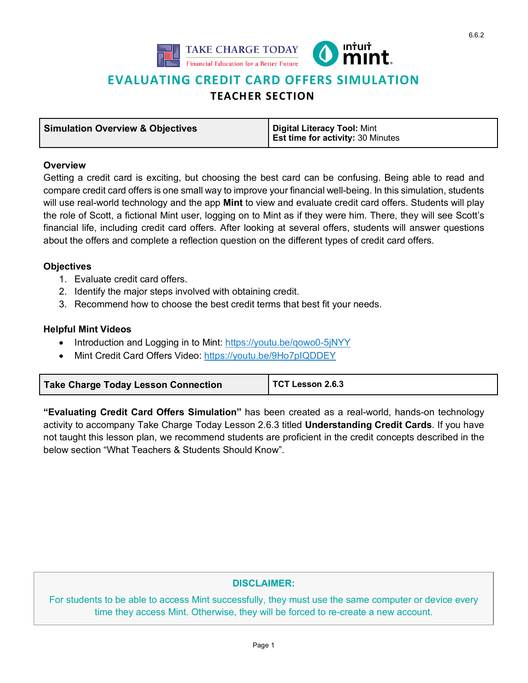



# **EVALUATING CREDIT CARD OFFERS SIMULATION**

# **TEACHER SECTION**

| <b>Simulation Overview &amp; Objectives</b> | Digital Literacy Tool: Mint              |
|---------------------------------------------|------------------------------------------|
|                                             | <b>Est time for activity: 30 Minutes</b> |

#### **Overview**

Getting a credit card is exciting, but choosing the best card can be confusing. Being able to read and compare credit card offers is one small way to improve your financial well-being. In this simulation, students will use real-world technology and the app **Mint** to view and evaluate credit card offers. Students will play the role of Scott, a fictional Mint user, logging on to Mint as if they were him. There, they will see Scott's financial life, including credit card offers. After looking at several offers, students will answer questions about the offers and complete a reflection question on the different types of credit card offers.

## **Objectives**

- 1. Evaluate credit card offers.
- 2. Identify the major steps involved with obtaining credit.
- 3. Recommend how to choose the best credit terms that best fit your needs.

## **Helpful Mint Videos**

- Introduction and Logging in to Mint: https://youtu.be/qowo0-5jNYY
- Mint Credit Card Offers Video: https://youtu.be/9Ho7pIQDDEY

| <b>Take Charge Today Lesson Connection</b> | TCT Lesson 2.6.3 |
|--------------------------------------------|------------------|
|--------------------------------------------|------------------|

**"Evaluating Credit Card Offers Simulation"** has been created as a real-world, hands-on technology activity to accompany Take Charge Today Lesson 2.6.3 titled **[Understanding Credit Cards](https://takechargetoday.arizona.edu/lessonplans/understanding-credit-card)**. If you have not taught this lesson plan, we recommend students are proficient in the credit concepts described in the below section "What Teachers & Students Should Know".

# **DISCLAIMER:**

For students to be able to access Mint successfully, they must use the same computer or device every time they access Mint. Otherwise, they will be forced to re-create a new account.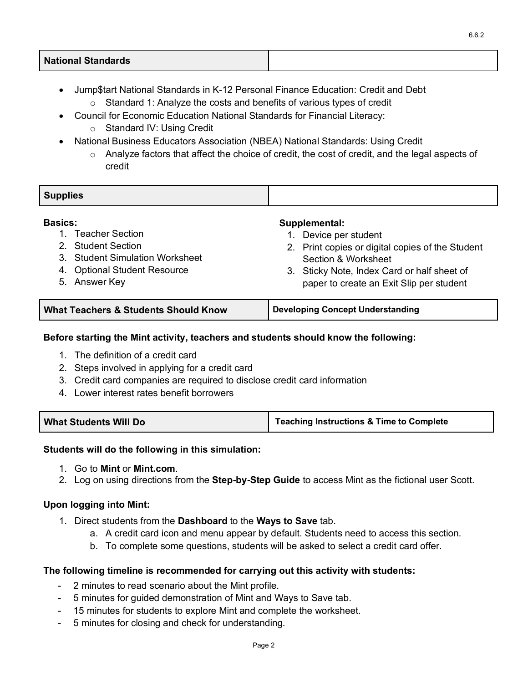# **National Standards**

- Jump\$tart National Standards in K-12 Personal Finance Education: Credit and Debt
	- $\circ$  Standard 1: Analyze the costs and benefits of various types of credit
- Council for Economic Education National Standards for Financial Literacy:
	- o Standard IV: Using Credit
- National Business Educators Association (NBEA) National Standards: Using Credit
	- $\circ$  Analyze factors that affect the choice of credit, the cost of credit, and the legal aspects of credit

| <b>Supplies</b> |  |
|-----------------|--|
|                 |  |

#### **Basics:**

- 1. Teacher Section
- 2. Student Section
- 3. [Student Simulation Worksheet](https://takechargetoday.arizona.edu/lessonplans/evaluating-credit-card-offers-simulation)
- 4. Optional Student Resource
- 5. Answer Key

#### **Supplemental:**

- 1. Device per student
- 2. Print copies or digital copies of the Student Section & Worksheet
- 3. Sticky Note, Index Card or half sheet of paper to create an Exit Slip per student

| <b>What Teachers &amp; Students Should Know</b> | Developing Concept Understanding |
|-------------------------------------------------|----------------------------------|
|                                                 |                                  |

#### **Before starting the Mint activity, teachers and students should know the following:**

- 1. The definition of a credit card
- 2. Steps involved in applying for a credit card
- 3. Credit card companies are required to disclose credit card information
- 4. Lower interest rates benefit borrowers

| Teaching Instructions & Time to Complete |
|------------------------------------------|
|                                          |

#### **Students will do the following in this simulation:**

- 1. Go to **Mint** or **Mint.com**.
- 2. Log on using directions from the **[Step-by-Step](https://takechargetoday.arizona.edu/curriculum/intuit-simulations#mint) Guide** to access Mint as the fictional user Scott.

#### **Upon logging into Mint:**

- 1. Direct students from the **Dashboard** to the **Ways to Save** tab.
	- a. A credit card icon and menu appear by default. Students need to access this section.
	- b. To complete some questions, students will be asked to select a credit card offer.

#### **The following timeline is recommended for carrying out this activity with students:**

- 2 minutes to read scenario about the Mint profile.
- 5 minutes for guided demonstration of Mint and Ways to Save tab.
- 15 minutes for students to explore Mint and complete the worksheet.
- 5 minutes for closing and check for understanding.